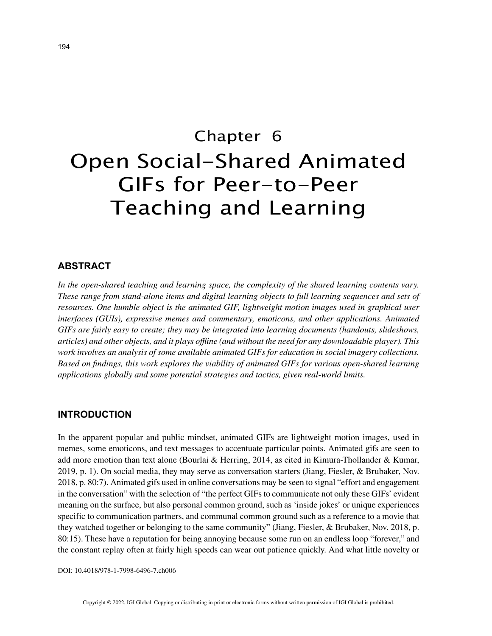# Chapter 6 Open Social-Shared Animated GIFs for Peer-to-Peer Teaching and Learning

## **ABSTRACT**

*In the open-shared teaching and learning space, the complexity of the shared learning contents vary. These range from stand-alone items and digital learning objects to full learning sequences and sets of resources. One humble object is the animated GIF, lightweight motion images used in graphical user interfaces (GUIs), expressive memes and commentary, emoticons, and other applications. Animated GIFs are fairly easy to create; they may be integrated into learning documents (handouts, slideshows, articles) and other objects, and it plays offline (and without the need for any downloadable player). This work involves an analysis of some available animated GIFs for education in social imagery collections. Based on findings, this work explores the viability of animated GIFs for various open-shared learning applications globally and some potential strategies and tactics, given real-world limits.*

### **INTRODUCTION**

In the apparent popular and public mindset, animated GIFs are lightweight motion images, used in memes, some emoticons, and text messages to accentuate particular points. Animated gifs are seen to add more emotion than text alone (Bourlai & Herring, 2014, as cited in Kimura-Thollander & Kumar, 2019, p. 1). On social media, they may serve as conversation starters (Jiang, Fiesler, & Brubaker, Nov. 2018, p. 80:7). Animated gifs used in online conversations may be seen to signal "effort and engagement in the conversation" with the selection of "the perfect GIFs to communicate not only these GIFs' evident meaning on the surface, but also personal common ground, such as 'inside jokes' or unique experiences specific to communication partners, and communal common ground such as a reference to a movie that they watched together or belonging to the same community" (Jiang, Fiesler, & Brubaker, Nov. 2018, p. 80:15). These have a reputation for being annoying because some run on an endless loop "forever," and the constant replay often at fairly high speeds can wear out patience quickly. And what little novelty or

DOI: 10.4018/978-1-7998-6496-7.ch006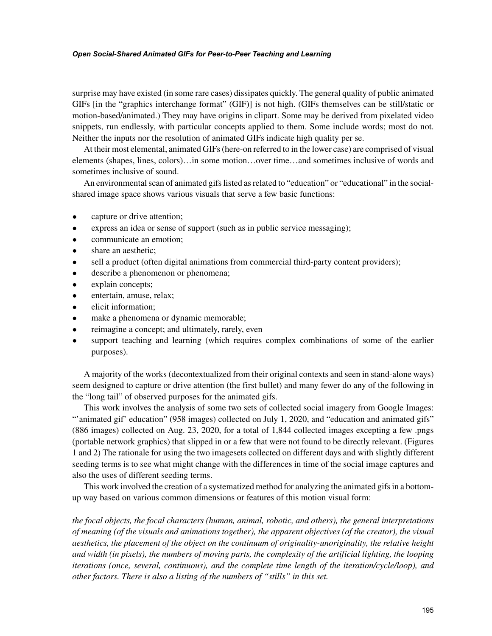#### *Open Social-Shared Animated GIFs for Peer-to-Peer Teaching and Learning*

surprise may have existed (in some rare cases) dissipates quickly. The general quality of public animated GIFs [in the "graphics interchange format" (GIF)] is not high. (GIFs themselves can be still/static or motion-based/animated.) They may have origins in clipart. Some may be derived from pixelated video snippets, run endlessly, with particular concepts applied to them. Some include words; most do not. Neither the inputs nor the resolution of animated GIFs indicate high quality per se.

At their most elemental, animated GIFs (here-on referred to in the lower case) are comprised of visual elements (shapes, lines, colors)…in some motion…over time…and sometimes inclusive of words and sometimes inclusive of sound.

An environmental scan of animated gifs listed as related to "education" or "educational" in the socialshared image space shows various visuals that serve a few basic functions:

- capture or drive attention;
- express an idea or sense of support (such as in public service messaging);
- communicate an emotion;
- share an aesthetic;
- sell a product (often digital animations from commercial third-party content providers);
- describe a phenomenon or phenomena;
- explain concepts;
- entertain, amuse, relax;
- elicit information:
- make a phenomena or dynamic memorable;
- reimagine a concept; and ultimately, rarely, even
- support teaching and learning (which requires complex combinations of some of the earlier purposes).

A majority of the works (decontextualized from their original contexts and seen in stand-alone ways) seem designed to capture or drive attention (the first bullet) and many fewer do any of the following in the "long tail" of observed purposes for the animated gifs.

This work involves the analysis of some two sets of collected social imagery from Google Images: "'animated gif' education" (958 images) collected on July 1, 2020, and "education and animated gifs" (886 images) collected on Aug. 23, 2020, for a total of 1,844 collected images excepting a few .pngs (portable network graphics) that slipped in or a few that were not found to be directly relevant. (Figures 1 and 2) The rationale for using the two imagesets collected on different days and with slightly different seeding terms is to see what might change with the differences in time of the social image captures and also the uses of different seeding terms.

This work involved the creation of a systematized method for analyzing the animated gifs in a bottomup way based on various common dimensions or features of this motion visual form:

*the focal objects, the focal characters (human, animal, robotic, and others), the general interpretations of meaning (of the visuals and animations together), the apparent objectives (of the creator), the visual aesthetics, the placement of the object on the continuum of originality-unoriginality, the relative height and width (in pixels), the numbers of moving parts, the complexity of the artificial lighting, the looping iterations (once, several, continuous), and the complete time length of the iteration/cycle/loop), and other factors. There is also a listing of the numbers of "stills" in this set.*